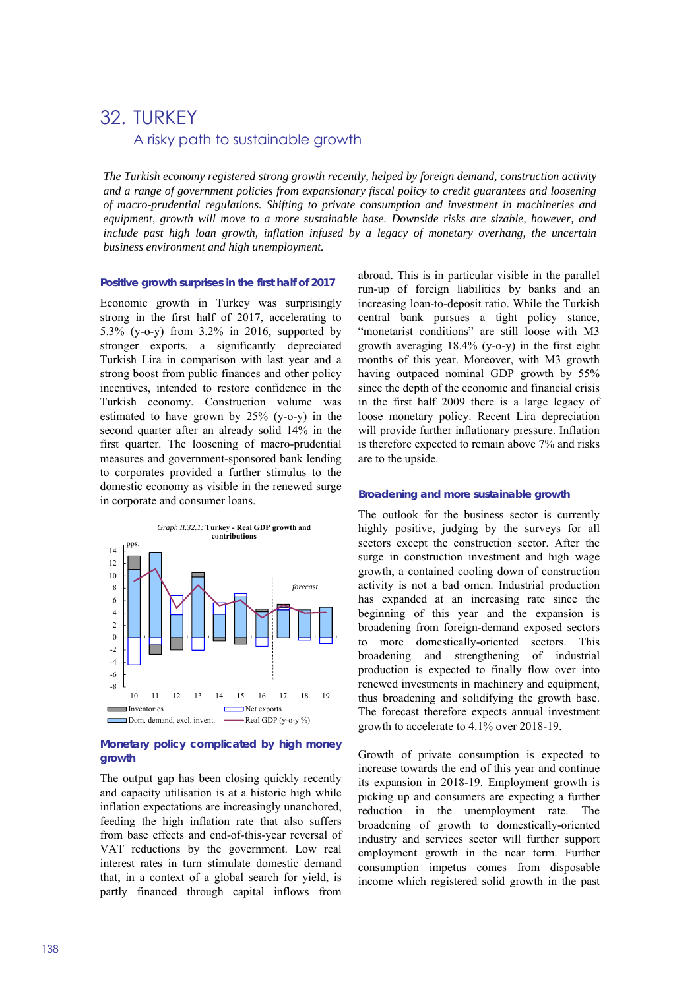# 32. TURKEY A risky path to sustainable growth

*The Turkish economy registered strong growth recently, helped by foreign demand, construction activity and a range of government policies from expansionary fiscal policy to credit guarantees and loosening of macro-prudential regulations. Shifting to private consumption and investment in machineries and equipment, growth will move to a more sustainable base. Downside risks are sizable, however, and include past high loan growth, inflation infused by a legacy of monetary overhang, the uncertain business environment and high unemployment.* 

#### **Positive growth surprises in the first half of 2017**

Economic growth in Turkey was surprisingly strong in the first half of 2017, accelerating to 5.3% (y-o-y) from 3.2% in 2016, supported by stronger exports, a significantly depreciated Turkish Lira in comparison with last year and a strong boost from public finances and other policy incentives, intended to restore confidence in the Turkish economy. Construction volume was estimated to have grown by 25% (y-o-y) in the second quarter after an already solid 14% in the first quarter. The loosening of macro-prudential measures and government-sponsored bank lending to corporates provided a further stimulus to the domestic economy as visible in the renewed surge in corporate and consumer loans.



### **Monetary policy complicated by high money growth**

The output gap has been closing quickly recently and capacity utilisation is at a historic high while inflation expectations are increasingly unanchored, feeding the high inflation rate that also suffers from base effects and end-of-this-year reversal of VAT reductions by the government. Low real interest rates in turn stimulate domestic demand that, in a context of a global search for yield, is partly financed through capital inflows from

abroad. This is in particular visible in the parallel run-up of foreign liabilities by banks and an increasing loan-to-deposit ratio. While the Turkish central bank pursues a tight policy stance, "monetarist conditions" are still loose with M3 growth averaging 18.4% (y-o-y) in the first eight months of this year. Moreover, with M3 growth having outpaced nominal GDP growth by 55% since the depth of the economic and financial crisis in the first half 2009 there is a large legacy of loose monetary policy. Recent Lira depreciation will provide further inflationary pressure. Inflation is therefore expected to remain above 7% and risks are to the upside.

#### **Broadening and more sustainable growth**

The outlook for the business sector is currently highly positive, judging by the surveys for all sectors except the construction sector. After the surge in construction investment and high wage growth, a contained cooling down of construction activity is not a bad omen. Industrial production has expanded at an increasing rate since the beginning of this year and the expansion is broadening from foreign-demand exposed sectors to more domestically-oriented sectors. This broadening and strengthening of industrial production is expected to finally flow over into renewed investments in machinery and equipment, thus broadening and solidifying the growth base. The forecast therefore expects annual investment growth to accelerate to 4.1% over 2018-19.

Growth of private consumption is expected to increase towards the end of this year and continue its expansion in 2018-19. Employment growth is picking up and consumers are expecting a further reduction in the unemployment rate. The broadening of growth to domestically-oriented industry and services sector will further support employment growth in the near term. Further consumption impetus comes from disposable income which registered solid growth in the past